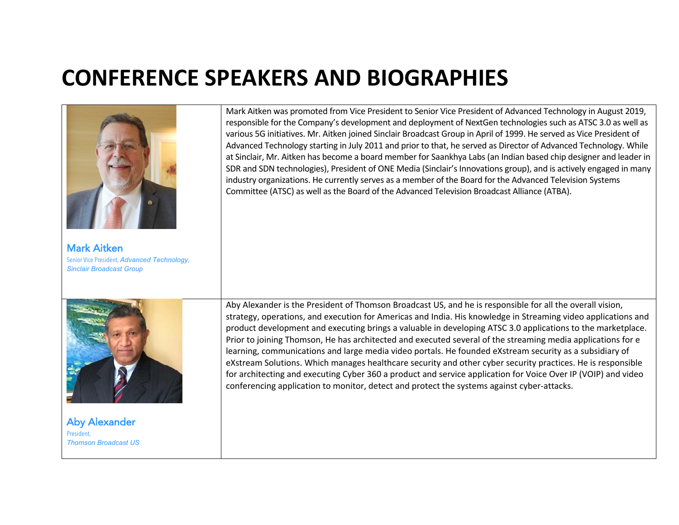## **CONFERENCE SPEAKERS AND BIOGRAPHIES**

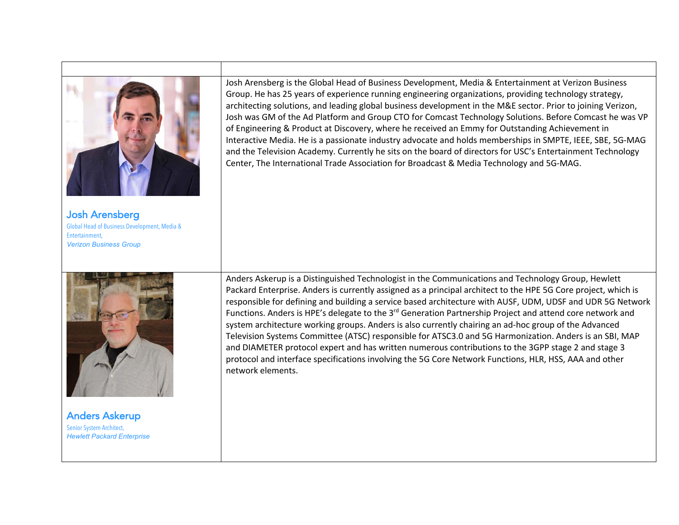

Josh Arensberg Global Head of Business Development, Media & Entertainment, *Verizon Business Group*



Anders Askerup Senior System Architect, *Hewlett Packard Enterprise* Josh Arensberg is the Global Head of Business Development, Media & Entertainment at Verizon Business Group. He has 25 years of experience running engineering organizations, providing technology strategy, architecting solutions, and leading global business development in the M&E sector. Prior to joining Verizon, Josh was GM of the Ad Platform and Group CTO for Comcast Technology Solutions. Before Comcast he was VP of Engineering & Product at Discovery, where he received an Emmy for Outstanding Achievement in Interactive Media. He is a passionate industry advocate and holds memberships in SMPTE, IEEE, SBE, 5G-MAG and the Television Academy. Currently he sits on the board of directors for USC's Entertainment Technology Center, The International Trade Association for Broadcast & Media Technology and 5G-MAG.

Anders Askerup is a Distinguished Technologist in the Communications and Technology Group, Hewlett Packard Enterprise. Anders is currently assigned as a principal architect to the HPE 5G Core project, which is responsible for defining and building a service based architecture with AUSF, UDM, UDSF and UDR 5G Network Functions. Anders is HPE's delegate to the 3<sup>rd</sup> Generation Partnership Project and attend core network and system architecture working groups. Anders is also currently chairing an ad-hoc group of the Advanced Television Systems Committee (ATSC) responsible for ATSC3.0 and 5G Harmonization. Anders is an SBI, MAP and DIAMETER protocol expert and has written numerous contributions to the 3GPP stage 2 and stage 3 protocol and interface specifications involving the 5G Core Network Functions, HLR, HSS, AAA and other network elements.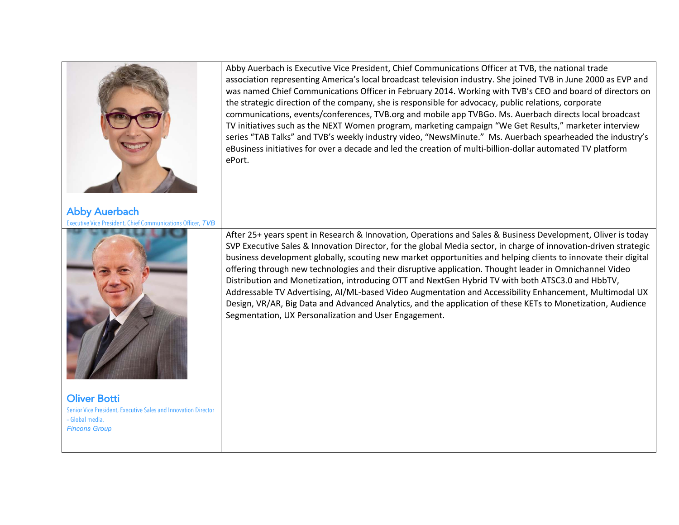

Abby Auerbach Executive Vice President, Chief Communications Officer, *TVB* 



Oliver Botti Senior Vice President, Executive Sales and Innovation Director – Global media, *Fincons Group* 

Abby Auerbach is Executive Vice President, Chief Communications Officer at TVB, the national trade association representing America's local broadcast television industry. She joined TVB in June 2000 as EVP and was named Chief Communications Officer in February 2014. Working with TVB's CEO and board of directors on the strategic direction of the company, she is responsible for advocacy, public relations, corporate communications, events/conferences, TVB.org and mobile app TVBGo. Ms. Auerbach directs local broadcast TV initiatives such as the NEXT Women program, marketing campaign "We Get Results," marketer interview series "TAB Talks" and TVB's weekly industry video, "NewsMinute." Ms. Auerbach spearheaded the industry's eBusiness initiatives for over a decade and led the creation of multi-billion-dollar automated TV platform ePort.

After 25+ years spent in Research & Innovation, Operations and Sales & Business Development, Oliver is today SVP Executive Sales & Innovation Director, for the global Media sector, in charge of innovation-driven strategic business development globally, scouting new market opportunities and helping clients to innovate their digital offering through new technologies and their disruptive application. Thought leader in Omnichannel Video Distribution and Monetization, introducing OTT and NextGen Hybrid TV with both ATSC3.0 and HbbTV, Addressable TV Advertising, AI/ML-based Video Augmentation and Accessibility Enhancement, Multimodal UX Design, VR/AR, Big Data and Advanced Analytics, and the application of these KETs to Monetization, Audience Segmentation, UX Personalization and User Engagement.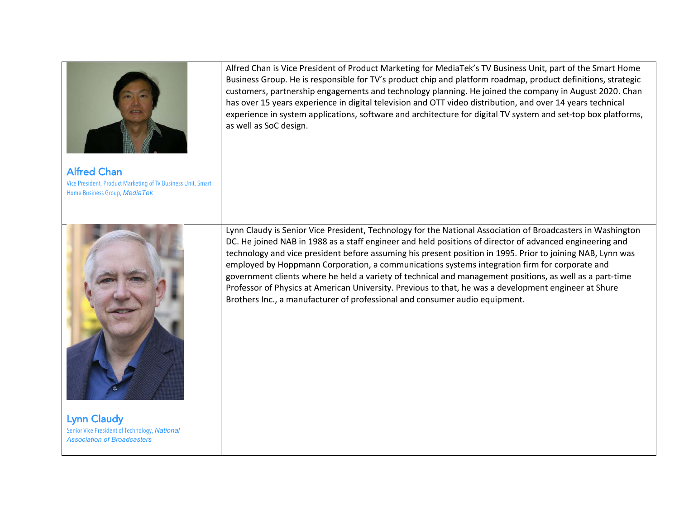

Alfred Chan Vice President, Product Marketing of TV Business Unit, Smart Home Business Group, *MediaTek*

Alfred Chan is Vice President of Product Marketing for MediaTek's TV Business Unit, part of the Smart Home Business Group. He is responsible for TV's product chip and platform roadmap, product definitions, strategic customers, partnership engagements and technology planning. He joined the company in August 2020. Chan has over 15 years experience in digital television and OTT video distribution, and over 14 years technical experience in system applications, software and architecture for digital TV system and set-top box platforms, as well as SoC design.



Lynn Claudy Senior Vice President of Technology, *National Association of Broadcasters* 

Lynn Claudy is Senior Vice President, Technology for the National Association of Broadcasters in Washington DC. He joined NAB in 1988 as a staff engineer and held positions of director of advanced engineering and technology and vice president before assuming his present position in 1995. Prior to joining NAB, Lynn was employed by Hoppmann Corporation, a communications systems integration firm for corporate and government clients where he held a variety of technical and management positions, as well as a part-time Professor of Physics at American University. Previous to that, he was a development engineer at Shure Brothers Inc., a manufacturer of professional and consumer audio equipment.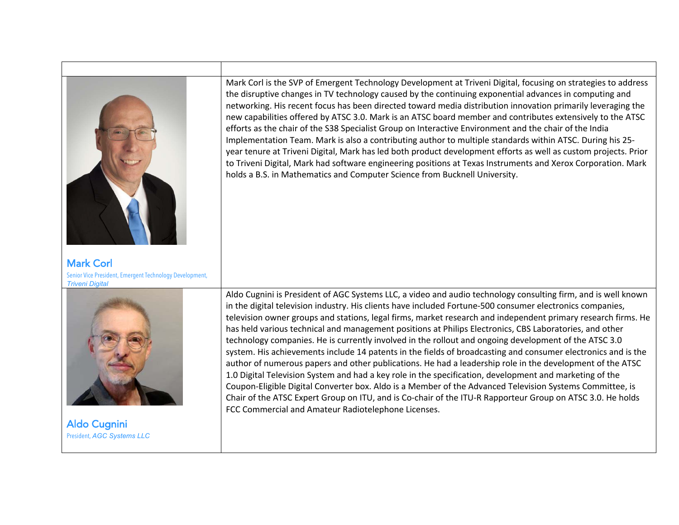

Mark Corl is the SVP of Emergent Technology Development at Triveni Digital, focusing on strategies to address the disruptive changes in TV technology caused by the continuing exponential advances in computing and networking. His recent focus has been directed toward media distribution innovation primarily leveraging the new capabilities offered by ATSC 3.0. Mark is an ATSC board member and contributes extensively to the ATSC efforts as the chair of the S38 Specialist Group on Interactive Environment and the chair of the India Implementation Team. Mark is also a contributing author to multiple standards within ATSC. During his 25 year tenure at Triveni Digital, Mark has led both product development efforts as well as custom projects. Prior to Triveni Digital, Mark had software engineering positions at Texas Instruments and Xerox Corporation. Mark holds a B.S. in Mathematics and Computer Science from Bucknell University.

*Triveni Digital*



Aldo Cugnini President, *AGC Systems LLC* Aldo Cugnini is President of AGC Systems LLC, a video and audio technology consulting firm, and is well known in the digital television industry. His clients have included Fortune-500 consumer electronics companies, television owner groups and stations, legal firms, market research and independent primary research firms. He has held various technical and management positions at Philips Electronics, CBS Laboratories, and other technology companies. He is currently involved in the rollout and ongoing development of the ATSC 3.0 system. His achievements include 14 patents in the fields of broadcasting and consumer electronics and is the author of numerous papers and other publications. He had a leadership role in the development of the ATSC 1.0 Digital Television System and had a key role in the specification, development and marketing of the Coupon-Eligible Digital Converter box. Aldo is a Member of the Advanced Television Systems Committee, is Chair of the ATSC Expert Group on ITU, and is Co-chair of the ITU-R Rapporteur Group on ATSC 3.0. He holds FCC Commercial and Amateur Radiotelephone Licenses.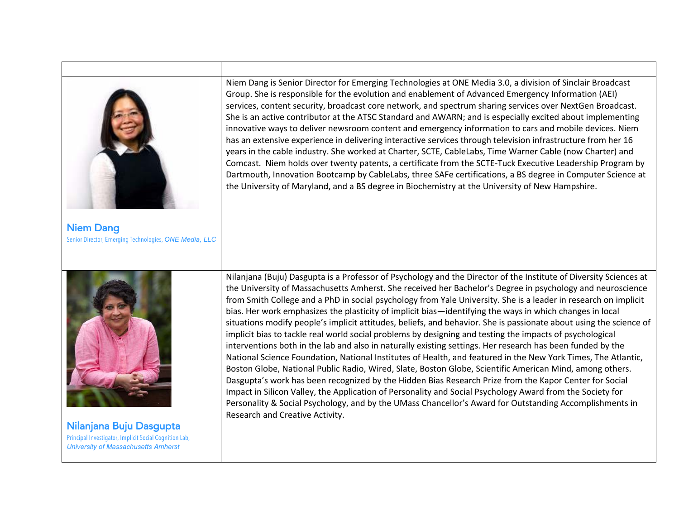| <b>Niem Dang</b><br>Senior Director, Emerging Technologies, ONE Media, LLC                                                      | Niem Dang is Senior Director for Emerging Technologies at ONE Media 3.0, a division of Sinclair Broadcast<br>Group. She is responsible for the evolution and enablement of Advanced Emergency Information (AEI)<br>services, content security, broadcast core network, and spectrum sharing services over NextGen Broadcast.<br>She is an active contributor at the ATSC Standard and AWARN; and is especially excited about implementing<br>innovative ways to deliver newsroom content and emergency information to cars and mobile devices. Niem<br>has an extensive experience in delivering interactive services through television infrastructure from her 16<br>years in the cable industry. She worked at Charter, SCTE, CableLabs, Time Warner Cable (now Charter) and<br>Comcast. Niem holds over twenty patents, a certificate from the SCTE-Tuck Executive Leadership Program by<br>Dartmouth, Innovation Bootcamp by CableLabs, three SAFe certifications, a BS degree in Computer Science at<br>the University of Maryland, and a BS degree in Biochemistry at the University of New Hampshire.                                                                                                                                                                                                                                                                                                    |
|---------------------------------------------------------------------------------------------------------------------------------|------------------------------------------------------------------------------------------------------------------------------------------------------------------------------------------------------------------------------------------------------------------------------------------------------------------------------------------------------------------------------------------------------------------------------------------------------------------------------------------------------------------------------------------------------------------------------------------------------------------------------------------------------------------------------------------------------------------------------------------------------------------------------------------------------------------------------------------------------------------------------------------------------------------------------------------------------------------------------------------------------------------------------------------------------------------------------------------------------------------------------------------------------------------------------------------------------------------------------------------------------------------------------------------------------------------------------------------------------------------------------------------------------------------|
| Nilanjana Buju Dasgupta<br>Principal Investigator, Implicit Social Cognition Lab,<br><b>University of Massachusetts Amherst</b> | Nilanjana (Buju) Dasgupta is a Professor of Psychology and the Director of the Institute of Diversity Sciences at<br>the University of Massachusetts Amherst. She received her Bachelor's Degree in psychology and neuroscience<br>from Smith College and a PhD in social psychology from Yale University. She is a leader in research on implicit<br>bias. Her work emphasizes the plasticity of implicit bias—identifying the ways in which changes in local<br>situations modify people's implicit attitudes, beliefs, and behavior. She is passionate about using the science of<br>implicit bias to tackle real world social problems by designing and testing the impacts of psychological<br>interventions both in the lab and also in naturally existing settings. Her research has been funded by the<br>National Science Foundation, National Institutes of Health, and featured in the New York Times, The Atlantic,<br>Boston Globe, National Public Radio, Wired, Slate, Boston Globe, Scientific American Mind, among others.<br>Dasgupta's work has been recognized by the Hidden Bias Research Prize from the Kapor Center for Social<br>Impact in Silicon Valley, the Application of Personality and Social Psychology Award from the Society for<br>Personality & Social Psychology, and by the UMass Chancellor's Award for Outstanding Accomplishments in<br>Research and Creative Activity. |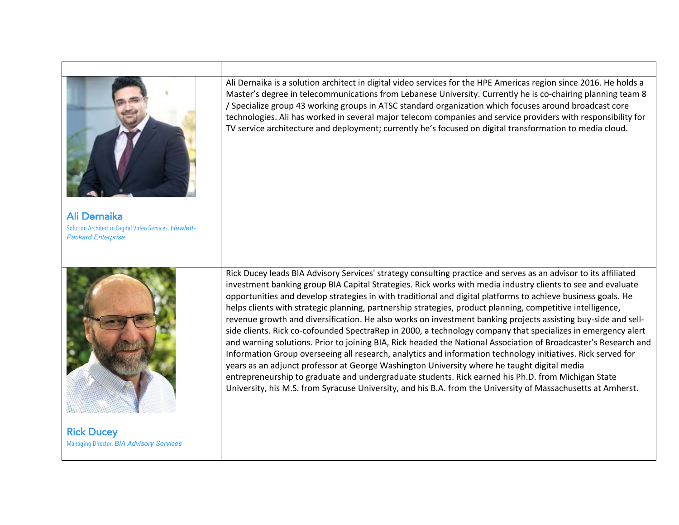

Rick Ducey Managing Director, *BIA Advisory Services*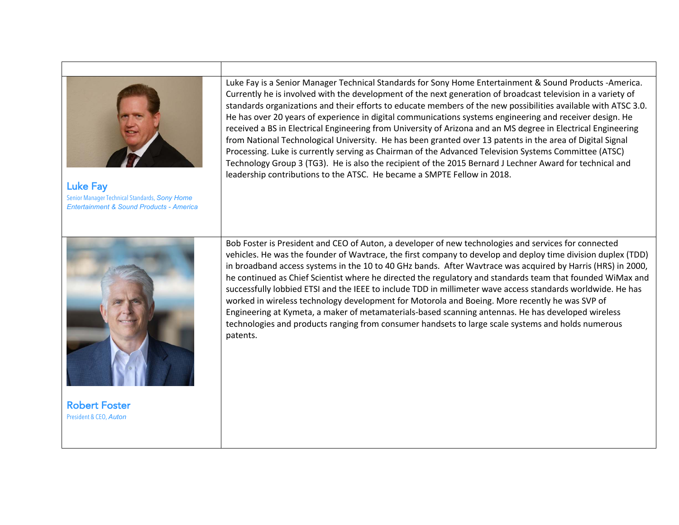

Luke Fay Senior Manager Technical Standards, *Sony Home Entertainment & Sound Products - America*

Luke Fay is a Senior Manager Technical Standards for Sony Home Entertainment & Sound Products -America. Currently he is involved with the development of the next generation of broadcast television in a variety of standards organizations and their efforts to educate members of the new possibilities available with ATSC 3.0. He has over 20 years of experience in digital communications systems engineering and receiver design. He received a BS in Electrical Engineering from University of Arizona and an MS degree in Electrical Engineering from National Technological University. He has been granted over 13 patents in the area of Digital Signal Processing. Luke is currently serving as Chairman of the Advanced Television Systems Committee (ATSC) Technology Group 3 (TG3). He is also the recipient of the 2015 Bernard J Lechner Award for technical and leadership contributions to the ATSC. He became a SMPTE Fellow in 2018.



Robert Foster President & CEO, *Auton* 

Bob Foster is President and CEO of Auton, a developer of new technologies and services for connected vehicles. He was the founder of Wavtrace, the first company to develop and deploy time division duplex (TDD) in broadband access systems in the 10 to 40 GHz bands. After Wavtrace was acquired by Harris (HRS) in 2000, he continued as Chief Scientist where he directed the regulatory and standards team that founded WiMax and successfully lobbied ETSI and the IEEE to include TDD in millimeter wave access standards worldwide. He has worked in wireless technology development for Motorola and Boeing. More recently he was SVP of Engineering at Kymeta, a maker of metamaterials-based scanning antennas. He has developed wireless technologies and products ranging from consumer handsets to large scale systems and holds numerous patents.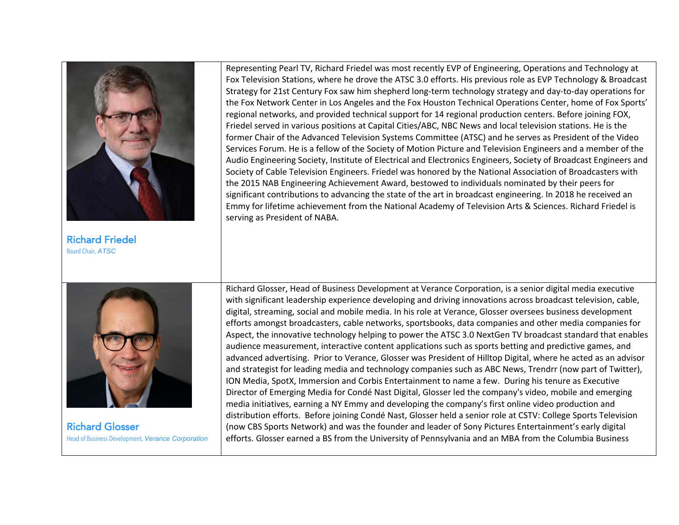

Richard Friedel Board Chair, *ATSC*

Representing Pearl TV, Richard Friedel was most recently EVP of Engineering, Operations and Technology at Fox Television Stations, where he drove the ATSC 3.0 efforts. His previous role as EVP Technology & Broadcast Strategy for 21st Century Fox saw him shepherd long-term technology strategy and day-to-day operations for the Fox Network Center in Los Angeles and the Fox Houston Technical Operations Center, home of Fox Sports' regional networks, and provided technical support for 14 regional production centers. Before joining FOX, Friedel served in various positions at Capital Cities/ABC, NBC News and local television stations. He is the former Chair of the Advanced Television Systems Committee (ATSC) and he serves as President of the Video Services Forum. He is a fellow of the Society of Motion Picture and Television Engineers and a member of the Audio Engineering Society, Institute of Electrical and Electronics Engineers, Society of Broadcast Engineers and Society of Cable Television Engineers. Friedel was honored by the National Association of Broadcasters with the 2015 NAB Engineering Achievement Award, bestowed to individuals nominated by their peers for significant contributions to advancing the state of the art in broadcast engineering. In 2018 he received an Emmy for lifetime achievement from the National Academy of Television Arts & Sciences. Richard Friedel is serving as President of NABA.



Richard Glosser Head of Business Development, *Verance Corporation* Richard Glosser, Head of Business Development at Verance Corporation, is a senior digital media executive with significant leadership experience developing and driving innovations across broadcast television, cable, digital, streaming, social and mobile media. In his role at Verance, Glosser oversees business development efforts amongst broadcasters, cable networks, sportsbooks, data companies and other media companies for Aspect, the innovative technology helping to power the ATSC 3.0 NextGen TV broadcast standard that enables audience measurement, interactive content applications such as sports betting and predictive games, and advanced advertising. Prior to Verance, Glosser was President of Hilltop Digital, where he acted as an advisor and strategist for leading media and technology companies such as ABC News, Trendrr (now part of Twitter), ION Media, SpotX, Immersion and Corbis Entertainment to name a few. During his tenure as Executive Director of Emerging Media for Condé Nast Digital, Glosser led the company's video, mobile and emerging media initiatives, earning a NY Emmy and developing the company's first online video production and distribution efforts. Before joining Condé Nast, Glosser held a senior role at CSTV: College Sports Television (now CBS Sports Network) and was the founder and leader of Sony Pictures Entertainment's early digital efforts. Glosser earned a BS from the University of Pennsylvania and an MBA from the Columbia Business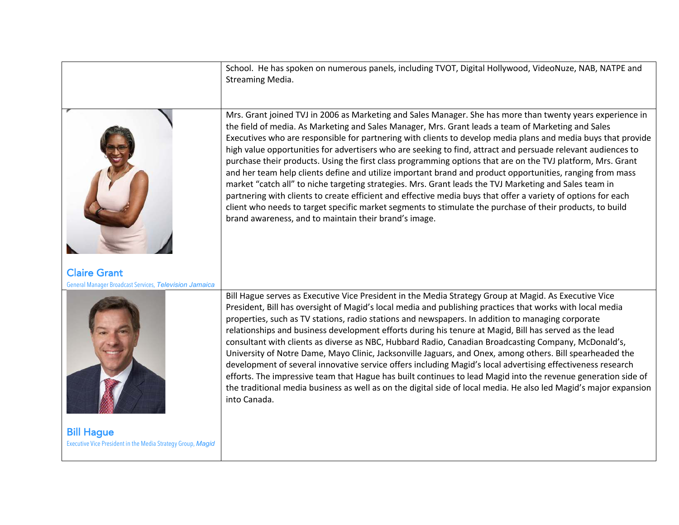|                                                                                  | School. He has spoken on numerous panels, including TVOT, Digital Hollywood, VideoNuze, NAB, NATPE and<br>Streaming Media.                                                                                                                                                                                                                                                                                                                                                                                                                                                                                                                                                                                                                                                                                                                                                                                                                                                                                                                                                     |
|----------------------------------------------------------------------------------|--------------------------------------------------------------------------------------------------------------------------------------------------------------------------------------------------------------------------------------------------------------------------------------------------------------------------------------------------------------------------------------------------------------------------------------------------------------------------------------------------------------------------------------------------------------------------------------------------------------------------------------------------------------------------------------------------------------------------------------------------------------------------------------------------------------------------------------------------------------------------------------------------------------------------------------------------------------------------------------------------------------------------------------------------------------------------------|
|                                                                                  | Mrs. Grant joined TVJ in 2006 as Marketing and Sales Manager. She has more than twenty years experience in<br>the field of media. As Marketing and Sales Manager, Mrs. Grant leads a team of Marketing and Sales<br>Executives who are responsible for partnering with clients to develop media plans and media buys that provide<br>high value opportunities for advertisers who are seeking to find, attract and persuade relevant audiences to<br>purchase their products. Using the first class programming options that are on the TVJ platform, Mrs. Grant<br>and her team help clients define and utilize important brand and product opportunities, ranging from mass<br>market "catch all" to niche targeting strategies. Mrs. Grant leads the TVJ Marketing and Sales team in<br>partnering with clients to create efficient and effective media buys that offer a variety of options for each<br>client who needs to target specific market segments to stimulate the purchase of their products, to build<br>brand awareness, and to maintain their brand's image. |
| <b>Claire Grant</b><br>General Manager Broadcast Services, Television Jamaica    |                                                                                                                                                                                                                                                                                                                                                                                                                                                                                                                                                                                                                                                                                                                                                                                                                                                                                                                                                                                                                                                                                |
|                                                                                  | Bill Hague serves as Executive Vice President in the Media Strategy Group at Magid. As Executive Vice<br>President, Bill has oversight of Magid's local media and publishing practices that works with local media<br>properties, such as TV stations, radio stations and newspapers. In addition to managing corporate<br>relationships and business development efforts during his tenure at Magid, Bill has served as the lead<br>consultant with clients as diverse as NBC, Hubbard Radio, Canadian Broadcasting Company, McDonald's,<br>University of Notre Dame, Mayo Clinic, Jacksonville Jaguars, and Onex, among others. Bill spearheaded the<br>development of several innovative service offers including Magid's local advertising effectiveness research<br>efforts. The impressive team that Hague has built continues to lead Magid into the revenue generation side of<br>the traditional media business as well as on the digital side of local media. He also led Magid's major expansion<br>into Canada.                                                    |
| <b>Bill Hague</b><br>Executive Vice President in the Media Strategy Group, Magid |                                                                                                                                                                                                                                                                                                                                                                                                                                                                                                                                                                                                                                                                                                                                                                                                                                                                                                                                                                                                                                                                                |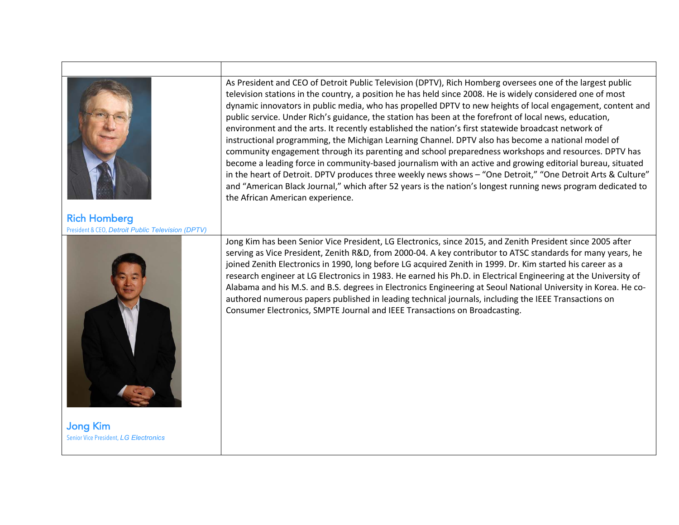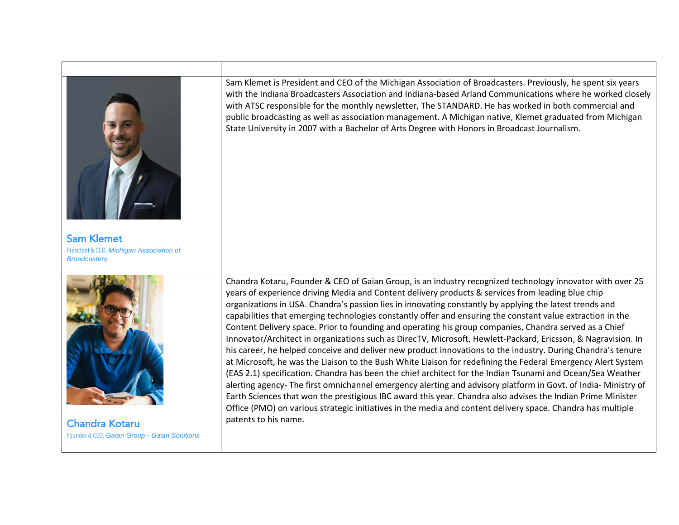

Chandra Kotaru Founder & CEO, *Gaian Group - Gaian Solutions*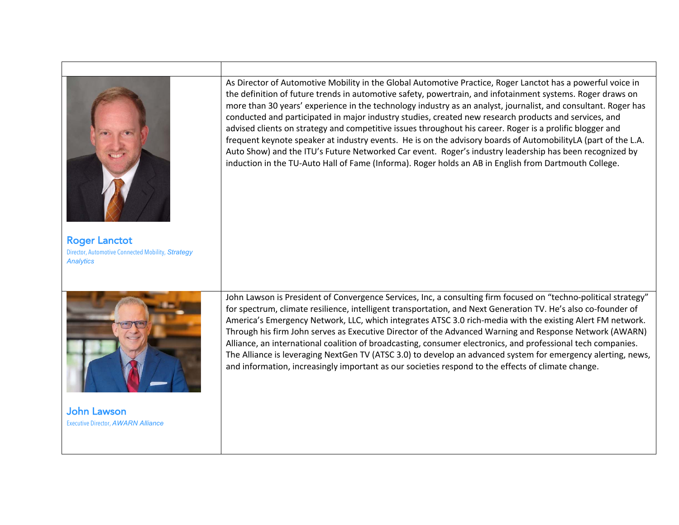| <b>Roger Lanctot</b><br>Director, Automotive Connected Mobility, Strategy<br><b>Analytics</b> | As Director of Automotive Mobility in the Global Automotive Practice, Roger Lanctot has a powerful voice in<br>the definition of future trends in automotive safety, powertrain, and infotainment systems. Roger draws on<br>more than 30 years' experience in the technology industry as an analyst, journalist, and consultant. Roger has<br>conducted and participated in major industry studies, created new research products and services, and<br>advised clients on strategy and competitive issues throughout his career. Roger is a prolific blogger and<br>frequent keynote speaker at industry events. He is on the advisory boards of AutomobilityLA (part of the L.A.<br>Auto Show) and the ITU's Future Networked Car event. Roger's industry leadership has been recognized by<br>induction in the TU-Auto Hall of Fame (Informa). Roger holds an AB in English from Dartmouth College. |
|-----------------------------------------------------------------------------------------------|--------------------------------------------------------------------------------------------------------------------------------------------------------------------------------------------------------------------------------------------------------------------------------------------------------------------------------------------------------------------------------------------------------------------------------------------------------------------------------------------------------------------------------------------------------------------------------------------------------------------------------------------------------------------------------------------------------------------------------------------------------------------------------------------------------------------------------------------------------------------------------------------------------|
| <b>John Lawson</b><br><b>Executive Director, AWARN Alliance</b>                               | John Lawson is President of Convergence Services, Inc, a consulting firm focused on "techno-political strategy"<br>for spectrum, climate resilience, intelligent transportation, and Next Generation TV. He's also co-founder of<br>America's Emergency Network, LLC, which integrates ATSC 3.0 rich-media with the existing Alert FM network.<br>Through his firm John serves as Executive Director of the Advanced Warning and Response Network (AWARN)<br>Alliance, an international coalition of broadcasting, consumer electronics, and professional tech companies.<br>The Alliance is leveraging NextGen TV (ATSC 3.0) to develop an advanced system for emergency alerting, news,<br>and information, increasingly important as our societies respond to the effects of climate change.                                                                                                        |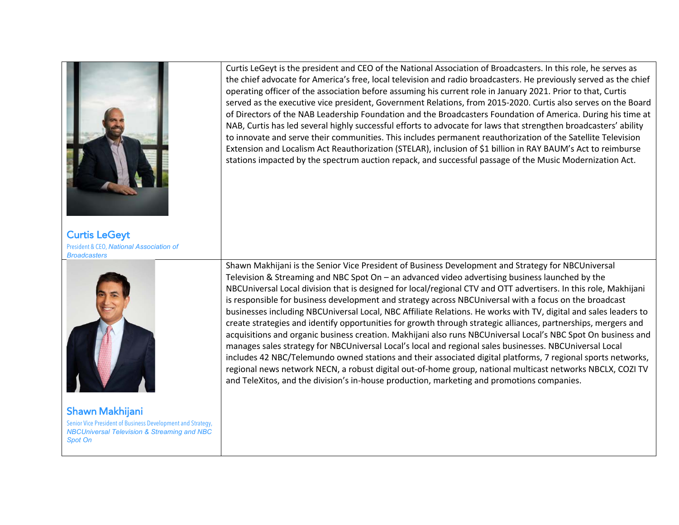

Curtis LeGeyt President & CEO, *National Association of Broadcasters* 



Shawn Makhijani Senior Vice President of Business Development and Strategy, *NBCUniversal Television & Streaming and NBC Spot On*

Curtis LeGeyt is the president and CEO of the National Association of Broadcasters. In this role, he serves as the chief advocate for America's free, local television and radio broadcasters. He previously served as the chief operating officer of the association before assuming his current role in January 2021. Prior to that, Curtis served as the executive vice president, Government Relations, from 2015-2020. Curtis also serves on the Board of Directors of the NAB Leadership Foundation and the Broadcasters Foundation of America. During his time at NAB, Curtis has led several highly successful efforts to advocate for laws that strengthen broadcasters' ability to innovate and serve their communities. This includes permanent reauthorization of the Satellite Television Extension and Localism Act Reauthorization (STELAR), inclusion of \$1 billion in RAY BAUM's Act to reimburse stations impacted by the spectrum auction repack, and successful passage of the Music Modernization Act.

Shawn Makhijani is the Senior Vice President of Business Development and Strategy for NBCUniversal Television & Streaming and NBC Spot On – an advanced video advertising business launched by the NBCUniversal Local division that is designed for local/regional CTV and OTT advertisers. In this role, Makhijani is responsible for business development and strategy across NBCUniversal with a focus on the broadcast businesses including NBCUniversal Local, NBC Affiliate Relations. He works with TV, digital and sales leaders to create strategies and identify opportunities for growth through strategic alliances, partnerships, mergers and acquisitions and organic business creation. Makhijani also runs NBCUniversal Local's NBC Spot On business and manages sales strategy for NBCUniversal Local's local and regional sales businesses. NBCUniversal Local includes 42 NBC/Telemundo owned stations and their associated digital platforms, 7 regional sports networks, regional news network NECN, a robust digital out-of-home group, national multicast networks NBCLX, COZI TV and TeleXitos, and the division's in-house production, marketing and promotions companies.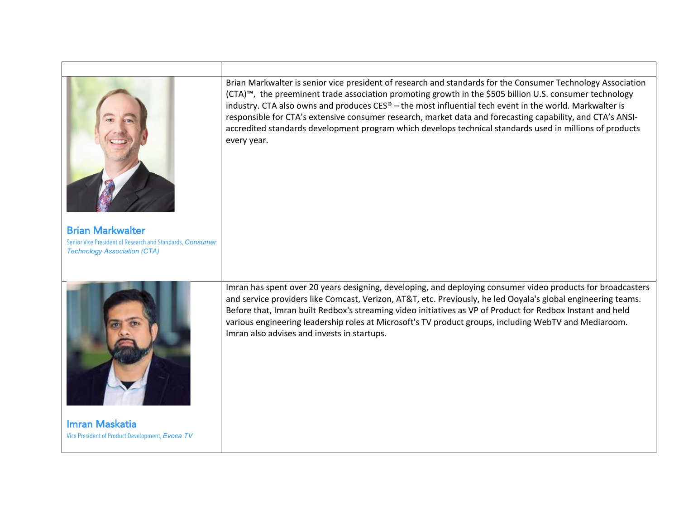| <b>Brian Markwalter</b><br>Senior Vice President of Research and Standards, Consumer<br><b>Technology Association (CTA)</b> | Brian Markwalter is senior vice president of research and standards for the Consumer Technology Association<br>(CTA)™, the preeminent trade association promoting growth in the \$505 billion U.S. consumer technology<br>industry. CTA also owns and produces CES® - the most influential tech event in the world. Markwalter is<br>responsible for CTA's extensive consumer research, market data and forecasting capability, and CTA's ANSI-<br>accredited standards development program which develops technical standards used in millions of products<br>every year. |
|-----------------------------------------------------------------------------------------------------------------------------|----------------------------------------------------------------------------------------------------------------------------------------------------------------------------------------------------------------------------------------------------------------------------------------------------------------------------------------------------------------------------------------------------------------------------------------------------------------------------------------------------------------------------------------------------------------------------|
| <b>Imran Maskatia</b><br>Vice President of Product Development, Evoca TV                                                    | Imran has spent over 20 years designing, developing, and deploying consumer video products for broadcasters<br>and service providers like Comcast, Verizon, AT&T, etc. Previously, he led Ooyala's global engineering teams.<br>Before that, Imran built Redbox's streaming video initiatives as VP of Product for Redbox Instant and held<br>various engineering leadership roles at Microsoft's TV product groups, including WebTV and Mediaroom.<br>Imran also advises and invests in startups.                                                                         |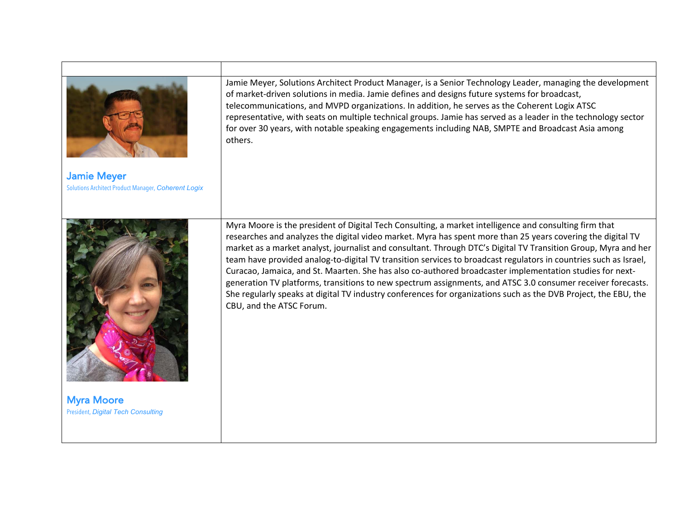|                                                                | Jamie Meyer, Solutions Architect Product Manager, is a Senior Technology Leader, managing the development<br>of market-driven solutions in media. Jamie defines and designs future systems for broadcast,<br>telecommunications, and MVPD organizations. In addition, he serves as the Coherent Logix ATSC<br>representative, with seats on multiple technical groups. Jamie has served as a leader in the technology sector<br>for over 30 years, with notable speaking engagements including NAB, SMPTE and Broadcast Asia among<br>others.                                                                                                                                                                                                                                                                                         |
|----------------------------------------------------------------|---------------------------------------------------------------------------------------------------------------------------------------------------------------------------------------------------------------------------------------------------------------------------------------------------------------------------------------------------------------------------------------------------------------------------------------------------------------------------------------------------------------------------------------------------------------------------------------------------------------------------------------------------------------------------------------------------------------------------------------------------------------------------------------------------------------------------------------|
| <b>Jamie Meyer</b>                                             |                                                                                                                                                                                                                                                                                                                                                                                                                                                                                                                                                                                                                                                                                                                                                                                                                                       |
| Solutions Architect Product Manager, Coherent Logix            |                                                                                                                                                                                                                                                                                                                                                                                                                                                                                                                                                                                                                                                                                                                                                                                                                                       |
| <b>Myra Moore</b><br><b>President, Digital Tech Consulting</b> | Myra Moore is the president of Digital Tech Consulting, a market intelligence and consulting firm that<br>researches and analyzes the digital video market. Myra has spent more than 25 years covering the digital TV<br>market as a market analyst, journalist and consultant. Through DTC's Digital TV Transition Group, Myra and her<br>team have provided analog-to-digital TV transition services to broadcast regulators in countries such as Israel,<br>Curacao, Jamaica, and St. Maarten. She has also co-authored broadcaster implementation studies for next-<br>generation TV platforms, transitions to new spectrum assignments, and ATSC 3.0 consumer receiver forecasts.<br>She regularly speaks at digital TV industry conferences for organizations such as the DVB Project, the EBU, the<br>CBU, and the ATSC Forum. |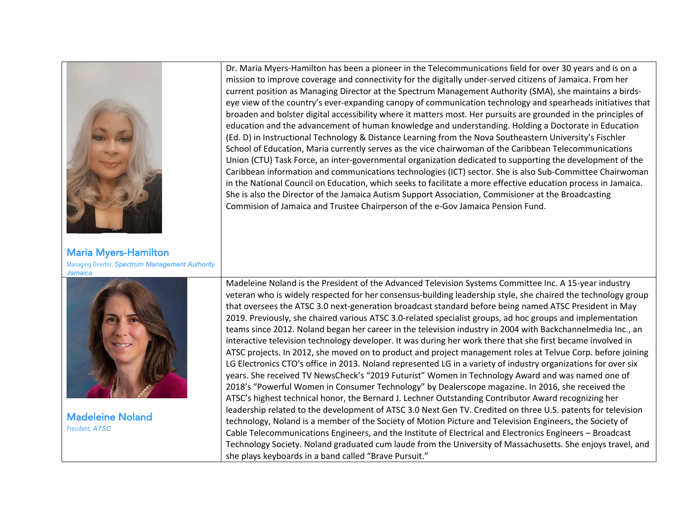| <b>Maria Myers-Hamilton</b>                           | Dr. Maria Myers-Hamilton has been a pioneer in the Telecommunications field for over 30 years and is on a<br>mission to improve coverage and connectivity for the digitally under-served citizens of Jamaica. From her<br>current position as Managing Director at the Spectrum Management Authority (SMA), she maintains a birds-<br>eye view of the country's ever-expanding canopy of communication technology and spearheads initiatives that<br>broaden and bolster digital accessibility where it matters most. Her pursuits are grounded in the principles of<br>education and the advancement of human knowledge and understanding. Holding a Doctorate in Education<br>(Ed. D) in Instructional Technology & Distance Learning from the Nova Southeastern University's Fischler<br>School of Education, Maria currently serves as the vice chairwoman of the Caribbean Telecommunications<br>Union (CTU) Task Force, an inter-governmental organization dedicated to supporting the development of the<br>Caribbean information and communications technologies (ICT) sector. She is also Sub-Committee Chairwoman<br>in the National Council on Education, which seeks to facilitate a more effective education process in Jamaica.<br>She is also the Director of the Jamaica Autism Support Association, Commisioner at the Broadcasting<br>Commision of Jamaica and Trustee Chairperson of the e-Gov Jamaica Pension Fund.                                                                                                                                                                                                                                                                                                           |
|-------------------------------------------------------|---------------------------------------------------------------------------------------------------------------------------------------------------------------------------------------------------------------------------------------------------------------------------------------------------------------------------------------------------------------------------------------------------------------------------------------------------------------------------------------------------------------------------------------------------------------------------------------------------------------------------------------------------------------------------------------------------------------------------------------------------------------------------------------------------------------------------------------------------------------------------------------------------------------------------------------------------------------------------------------------------------------------------------------------------------------------------------------------------------------------------------------------------------------------------------------------------------------------------------------------------------------------------------------------------------------------------------------------------------------------------------------------------------------------------------------------------------------------------------------------------------------------------------------------------------------------------------------------------------------------------------------------------------------------------------------------------------------------------------------------------|
| Managing Director, Spectrum Management Authority      |                                                                                                                                                                                                                                                                                                                                                                                                                                                                                                                                                                                                                                                                                                                                                                                                                                                                                                                                                                                                                                                                                                                                                                                                                                                                                                                                                                                                                                                                                                                                                                                                                                                                                                                                                   |
| Jamaica<br><b>Madeleine Noland</b><br>President, ATSC | Madeleine Noland is the President of the Advanced Television Systems Committee Inc. A 15-year industry<br>veteran who is widely respected for her consensus-building leadership style, she chaired the technology group<br>that oversees the ATSC 3.0 next-generation broadcast standard before being named ATSC President in May<br>2019. Previously, she chaired various ATSC 3.0-related specialist groups, ad hoc groups and implementation<br>teams since 2012. Noland began her career in the television industry in 2004 with Backchannelmedia Inc., an<br>interactive television technology developer. It was during her work there that she first became involved in<br>ATSC projects. In 2012, she moved on to product and project management roles at Telvue Corp. before joining<br>LG Electronics CTO's office in 2013. Noland represented LG in a variety of industry organizations for over six<br>years. She received TV NewsCheck's "2019 Futurist" Women in Technology Award and was named one of<br>2018's "Powerful Women in Consumer Technology" by Dealerscope magazine. In 2016, she received the<br>ATSC's highest technical honor, the Bernard J. Lechner Outstanding Contributor Award recognizing her<br>leadership related to the development of ATSC 3.0 Next Gen TV. Credited on three U.S. patents for television<br>technology, Noland is a member of the Society of Motion Picture and Television Engineers, the Society of<br>Cable Telecommunications Engineers, and the Institute of Electrical and Electronics Engineers - Broadcast<br>Technology Society. Noland graduated cum laude from the University of Massachusetts. She enjoys travel, and<br>she plays keyboards in a band called "Brave Pursuit." |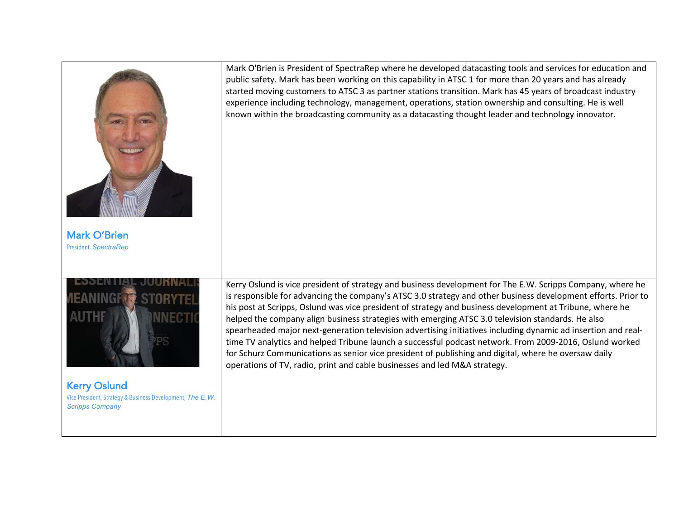|                                                                                     | Mark O'Brien is President of SpectraRep where he developed datacasting tools and services for education and<br>public safety. Mark has been working on this capability in ATSC 1 for more than 20 years and has already<br>started moving customers to ATSC 3 as partner stations transition. Mark has 45 years of broadcast industry<br>experience including technology, management, operations, station ownership and consulting. He is well<br>known within the broadcasting community as a datacasting thought leader and technology innovator.                                                                                                                                                                                                                                                                                                           |
|-------------------------------------------------------------------------------------|---------------------------------------------------------------------------------------------------------------------------------------------------------------------------------------------------------------------------------------------------------------------------------------------------------------------------------------------------------------------------------------------------------------------------------------------------------------------------------------------------------------------------------------------------------------------------------------------------------------------------------------------------------------------------------------------------------------------------------------------------------------------------------------------------------------------------------------------------------------|
| <b>Mark O'Brien</b><br>President, SpectraRep                                        |                                                                                                                                                                                                                                                                                                                                                                                                                                                                                                                                                                                                                                                                                                                                                                                                                                                               |
| <b>Kerry Oslund</b>                                                                 | Kerry Oslund is vice president of strategy and business development for The E.W. Scripps Company, where he<br>is responsible for advancing the company's ATSC 3.0 strategy and other business development efforts. Prior to<br>his post at Scripps, Oslund was vice president of strategy and business development at Tribune, where he<br>helped the company align business strategies with emerging ATSC 3.0 television standards. He also<br>spearheaded major next-generation television advertising initiatives including dynamic ad insertion and real-<br>time TV analytics and helped Tribune launch a successful podcast network. From 2009-2016, Oslund worked<br>for Schurz Communications as senior vice president of publishing and digital, where he oversaw daily<br>operations of TV, radio, print and cable businesses and led M&A strategy. |
| Vice President, Strategy & Business Development, The E.W.<br><b>Scripps Company</b> |                                                                                                                                                                                                                                                                                                                                                                                                                                                                                                                                                                                                                                                                                                                                                                                                                                                               |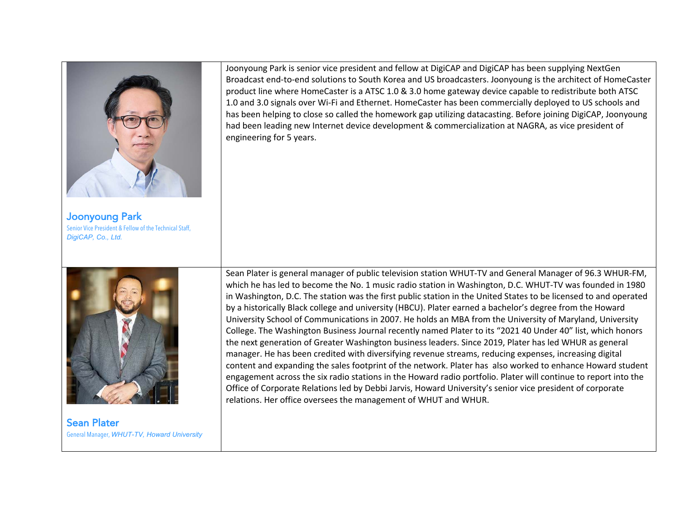

Joonyoung Park Senior Vice President & Fellow of the Technical Staff, *DigiCAP, Co., Ltd.*



Sean Plater General Manager, *WHUT-TV, Howard University* 

Joonyoung Park is senior vice president and fellow at DigiCAP and DigiCAP has been supplying NextGen Broadcast end-to-end solutions to South Korea and US broadcasters. Joonyoung is the architect of HomeCaster product line where HomeCaster is a ATSC 1.0 & 3.0 home gateway device capable to redistribute both ATSC 1.0 and 3.0 signals over Wi-Fi and Ethernet. HomeCaster has been commercially deployed to US schools and has been helping to close so called the homework gap utilizing datacasting. Before joining DigiCAP, Joonyoung had been leading new Internet device development & commercialization at NAGRA, as vice president of engineering for 5 years.

Sean Plater is general manager of public television station WHUT-TV and General Manager of 96.3 WHUR-FM, which he has led to become the No. 1 music radio station in Washington, D.C. WHUT-TV was founded in 1980 in Washington, D.C. The station was the first public station in the United States to be licensed to and operated by a historically Black college and university (HBCU). Plater earned a bachelor's degree from the Howard University School of Communications in 2007. He holds an MBA from the University of Maryland, University College. The Washington Business Journal recently named Plater to its "2021 40 Under 40" list, which honors the next generation of Greater Washington business leaders. Since 2019, Plater has led WHUR as general manager. He has been credited with diversifying revenue streams, reducing expenses, increasing digital content and expanding the sales footprint of the network. Plater has also worked to enhance Howard student engagement across the six radio stations in the Howard radio portfolio. Plater will continue to report into the Office of Corporate Relations led by Debbi Jarvis, Howard University's senior vice president of corporate relations. Her office oversees the management of WHUT and WHUR.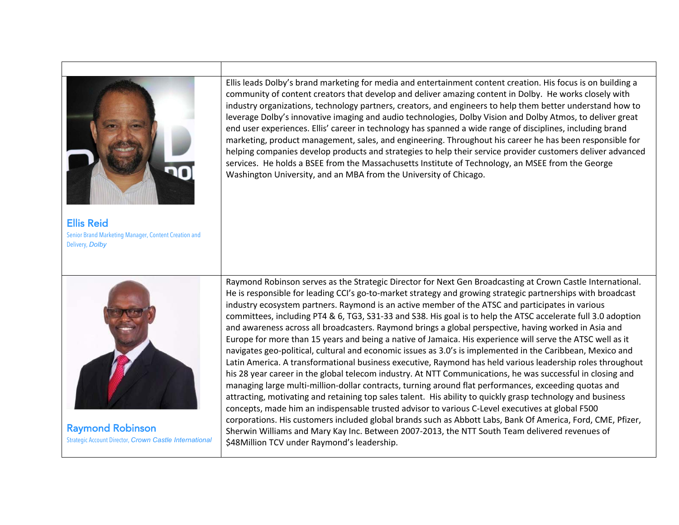

Ellis Reid Senior Brand Marketing Manager, Content Creation and Delivery, *Dolby* 



Raymond Robinson Strategic Account Director, *Crown Castle International* Ellis leads Dolby's brand marketing for media and entertainment content creation. His focus is on building a community of content creators that develop and deliver amazing content in Dolby. He works closely with industry organizations, technology partners, creators, and engineers to help them better understand how to leverage Dolby's innovative imaging and audio technologies, Dolby Vision and Dolby Atmos, to deliver great end user experiences. Ellis' career in technology has spanned a wide range of disciplines, including brand marketing, product management, sales, and engineering. Throughout his career he has been responsible for helping companies develop products and strategies to help their service provider customers deliver advanced services. He holds a BSEE from the Massachusetts Institute of Technology, an MSEE from the George Washington University, and an MBA from the University of Chicago.

Raymond Robinson serves as the Strategic Director for Next Gen Broadcasting at Crown Castle International. He is responsible for leading CCI's go-to-market strategy and growing strategic partnerships with broadcast industry ecosystem partners. Raymond is an active member of the ATSC and participates in various committees, including PT4 & 6, TG3, S31-33 and S38. His goal is to help the ATSC accelerate full 3.0 adoption and awareness across all broadcasters. Raymond brings a global perspective, having worked in Asia and Europe for more than 15 years and being a native of Jamaica. His experience will serve the ATSC well as it navigates geo-political, cultural and economic issues as 3.0's is implemented in the Caribbean, Mexico and Latin America. A transformational business executive, Raymond has held various leadership roles throughout his 28 year career in the global telecom industry. At NTT Communications, he was successful in closing and managing large multi-million-dollar contracts, turning around flat performances, exceeding quotas and attracting, motivating and retaining top sales talent. His ability to quickly grasp technology and business concepts, made him an indispensable trusted advisor to various C-Level executives at global F500 corporations. His customers included global brands such as Abbott Labs, Bank Of America, Ford, CME, Pfizer, Sherwin Williams and Mary Kay Inc. Between 2007-2013, the NTT South Team delivered revenues of \$48Million TCV under Raymond's leadership.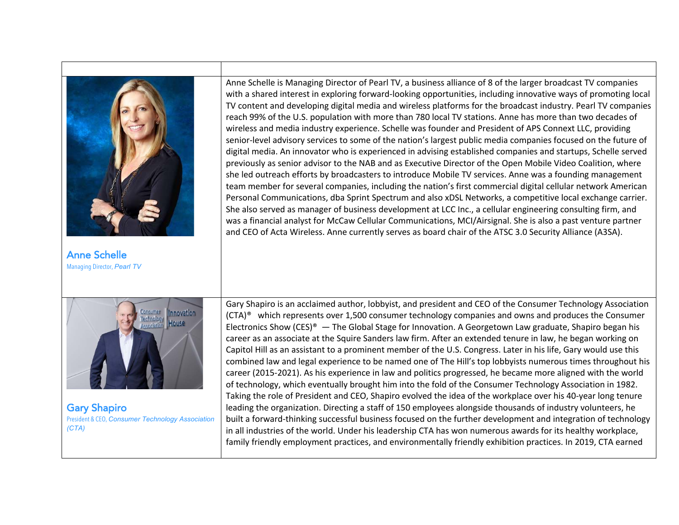

President & CEO, *Consumer Technology Association (CTA)* 

built a forward-thinking successful business focused on the further development and integration of technology in all industries of the world. Under his leadership CTA has won numerous awards for its healthy workplace, family friendly employment practices, and environmentally friendly exhibition practices. In 2019, CTA earned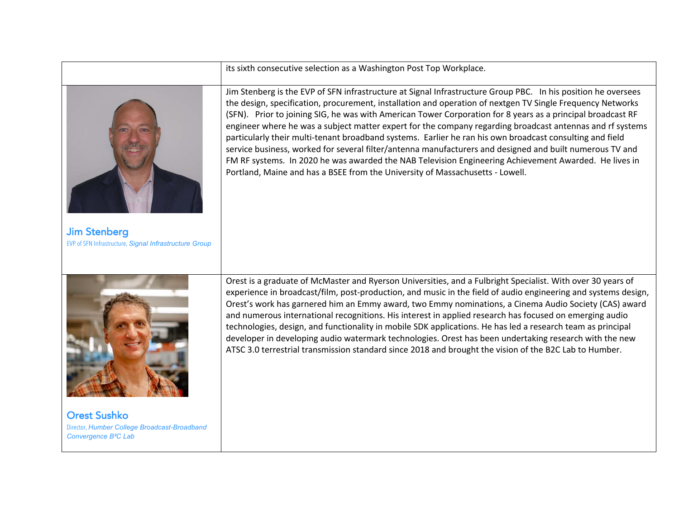|                                                                                                         | its sixth consecutive selection as a Washington Post Top Workplace.                                                                                                                                                                                                                                                                                                                                                                                                                                                                                                                                                                                                                                                                                                                                                                                                       |
|---------------------------------------------------------------------------------------------------------|---------------------------------------------------------------------------------------------------------------------------------------------------------------------------------------------------------------------------------------------------------------------------------------------------------------------------------------------------------------------------------------------------------------------------------------------------------------------------------------------------------------------------------------------------------------------------------------------------------------------------------------------------------------------------------------------------------------------------------------------------------------------------------------------------------------------------------------------------------------------------|
| <b>Jim Stenberg</b><br>EVP of SFN Infrastructure, Signal Infrastructure Group                           | Jim Stenberg is the EVP of SFN infrastructure at Signal Infrastructure Group PBC. In his position he oversees<br>the design, specification, procurement, installation and operation of nextgen TV Single Frequency Networks<br>(SFN). Prior to joining SIG, he was with American Tower Corporation for 8 years as a principal broadcast RF<br>engineer where he was a subject matter expert for the company regarding broadcast antennas and rf systems<br>particularly their multi-tenant broadband systems. Earlier he ran his own broadcast consulting and field<br>service business, worked for several filter/antenna manufacturers and designed and built numerous TV and<br>FM RF systems. In 2020 he was awarded the NAB Television Engineering Achievement Awarded. He lives in<br>Portland, Maine and has a BSEE from the University of Massachusetts - Lowell. |
| <b>Orest Sushko</b><br>Director, Humber College Broadcast-Broadband<br>Convergence B <sup>2</sup> C Lab | Orest is a graduate of McMaster and Ryerson Universities, and a Fulbright Specialist. With over 30 years of<br>experience in broadcast/film, post-production, and music in the field of audio engineering and systems design,<br>Orest's work has garnered him an Emmy award, two Emmy nominations, a Cinema Audio Society (CAS) award<br>and numerous international recognitions. His interest in applied research has focused on emerging audio<br>technologies, design, and functionality in mobile SDK applications. He has led a research team as principal<br>developer in developing audio watermark technologies. Orest has been undertaking research with the new<br>ATSC 3.0 terrestrial transmission standard since 2018 and brought the vision of the B2C Lab to Humber.                                                                                      |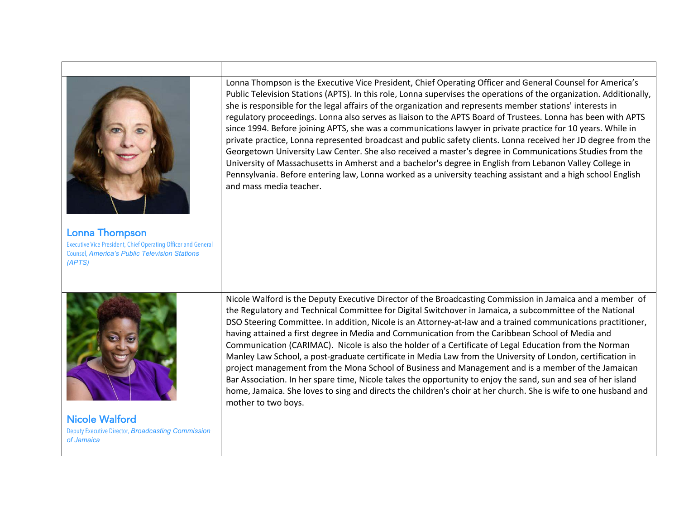|                                                                                                                                                                 | Lonna Thompson is the Executive Vice President, Chief Operating Officer and General Counsel for America's<br>Public Television Stations (APTS). In this role, Lonna supervises the operations of the organization. Additionally,<br>she is responsible for the legal affairs of the organization and represents member stations' interests in<br>regulatory proceedings. Lonna also serves as liaison to the APTS Board of Trustees. Lonna has been with APTS<br>since 1994. Before joining APTS, she was a communications lawyer in private practice for 10 years. While in<br>private practice, Lonna represented broadcast and public safety clients. Lonna received her JD degree from the<br>Georgetown University Law Center. She also received a master's degree in Communications Studies from the<br>University of Massachusetts in Amherst and a bachelor's degree in English from Lebanon Valley College in<br>Pennsylvania. Before entering law, Lonna worked as a university teaching assistant and a high school English<br>and mass media teacher. |
|-----------------------------------------------------------------------------------------------------------------------------------------------------------------|-------------------------------------------------------------------------------------------------------------------------------------------------------------------------------------------------------------------------------------------------------------------------------------------------------------------------------------------------------------------------------------------------------------------------------------------------------------------------------------------------------------------------------------------------------------------------------------------------------------------------------------------------------------------------------------------------------------------------------------------------------------------------------------------------------------------------------------------------------------------------------------------------------------------------------------------------------------------------------------------------------------------------------------------------------------------|
| <b>Lonna Thompson</b><br><b>Executive Vice President, Chief Operating Officer and General</b><br><b>Counsel, America's Public Television Stations</b><br>(APTS) |                                                                                                                                                                                                                                                                                                                                                                                                                                                                                                                                                                                                                                                                                                                                                                                                                                                                                                                                                                                                                                                                   |
|                                                                                                                                                                 | Nicole Walford is the Deputy Executive Director of the Broadcasting Commission in Jamaica and a member of<br>the Regulatory and Technical Committee for Digital Switchover in Jamaica, a subcommittee of the National<br>DSO Steering Committee. In addition, Nicole is an Attorney-at-law and a trained communications practitioner,<br>having attained a first degree in Media and Communication from the Caribbean School of Media and<br>Communication (CARIMAC). Nicole is also the holder of a Certificate of Legal Education from the Norman<br>Manley Law School, a post-graduate certificate in Media Law from the University of London, certification in<br>project management from the Mona School of Business and Management and is a member of the Jamaican<br>Bar Association. In her spare time, Nicole takes the opportunity to enjoy the sand, sun and sea of her island<br>home, Jamaica. She loves to sing and directs the children's choir at her church. She is wife to one husband and<br>mother to two boys.                               |
| <b>Nicole Walford</b><br>Deputy Executive Director, Broadcasting Commission<br>of Jamaica                                                                       |                                                                                                                                                                                                                                                                                                                                                                                                                                                                                                                                                                                                                                                                                                                                                                                                                                                                                                                                                                                                                                                                   |

Г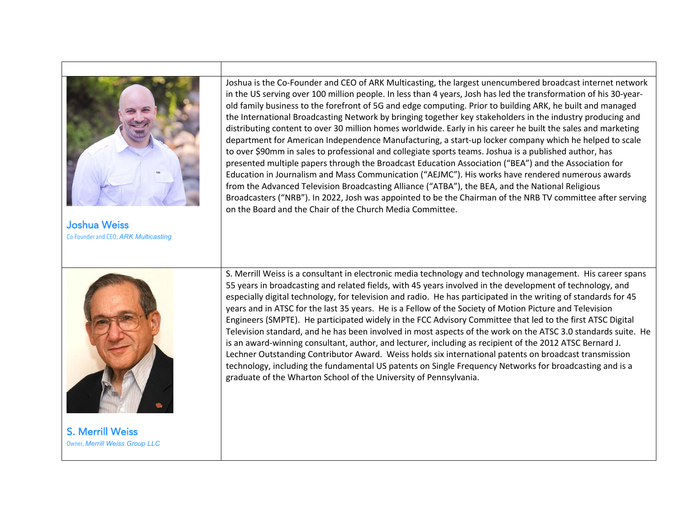

S. Merrill Weiss

Owner, *Merrill Weiss Group LLC*